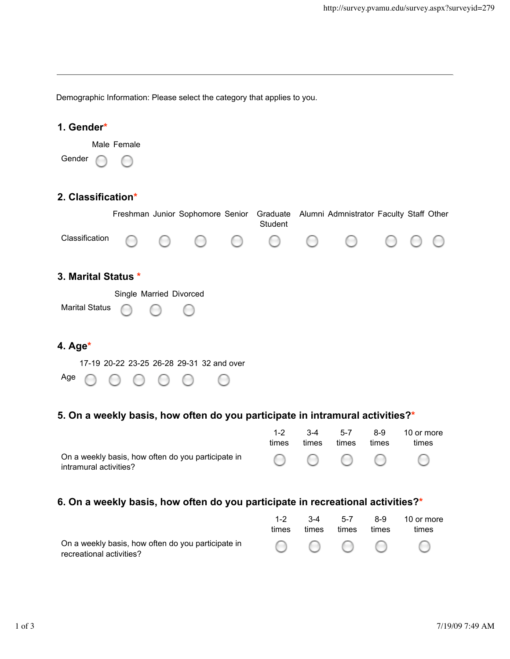Demographic Information: Please select the category that applies to you.

| 1. Gender*              |                                           |  |                                  |   |                                        |                                               |                                               |  |  |
|-------------------------|-------------------------------------------|--|----------------------------------|---|----------------------------------------|-----------------------------------------------|-----------------------------------------------|--|--|
|                         | Male Female                               |  |                                  |   |                                        |                                               |                                               |  |  |
| Gender                  | $\sim$                                    |  |                                  |   |                                        |                                               |                                               |  |  |
| 2. Classification*      |                                           |  |                                  |   |                                        |                                               |                                               |  |  |
|                         |                                           |  | Freshman Junior Sophomore Senior |   | Graduate<br>Student                    |                                               | Alumni Admnistrator Faculty Staff Other       |  |  |
| Classification          |                                           |  | (                                | ( | $\begin{pmatrix} 1 \\ 1 \end{pmatrix}$ | $\left( \begin{array}{c} \end{array} \right)$ | $\left( \begin{array}{c} \end{array} \right)$ |  |  |
| 3. Marital Status *     |                                           |  |                                  |   |                                        |                                               |                                               |  |  |
| Single Married Divorced |                                           |  |                                  |   |                                        |                                               |                                               |  |  |
| <b>Marital Status</b>   |                                           |  |                                  |   |                                        |                                               |                                               |  |  |
| 4. Age $*$              |                                           |  |                                  |   |                                        |                                               |                                               |  |  |
|                         | 17-19 20-22 23-25 26-28 29-31 32 and over |  |                                  |   |                                        |                                               |                                               |  |  |
| Age                     |                                           |  |                                  |   |                                        |                                               |                                               |  |  |

# **5. On a weekly basis, how often do you participate in intramural activities?\***

|                                                                                                                                     | times | $3-4$<br>times | 5-7<br>times | 8-9<br>times | 10 or more<br>times |
|-------------------------------------------------------------------------------------------------------------------------------------|-------|----------------|--------------|--------------|---------------------|
| On a weekly basis, how often do you participate in $\bigcirc$ $\bigcirc$ $\bigcirc$ $\bigcirc$ $\bigcirc$<br>intramural activities? |       |                |              |              |                     |

### **6. On a weekly basis, how often do you participate in recreational activities?\***

|                                                    |       | $3-4$ | $5-7$ | 8-9   | 10 or more |
|----------------------------------------------------|-------|-------|-------|-------|------------|
|                                                    | times | times | times | times | times      |
| On a weekly basis, how often do you participate in |       |       |       |       |            |
| recreational activities?                           |       |       |       |       |            |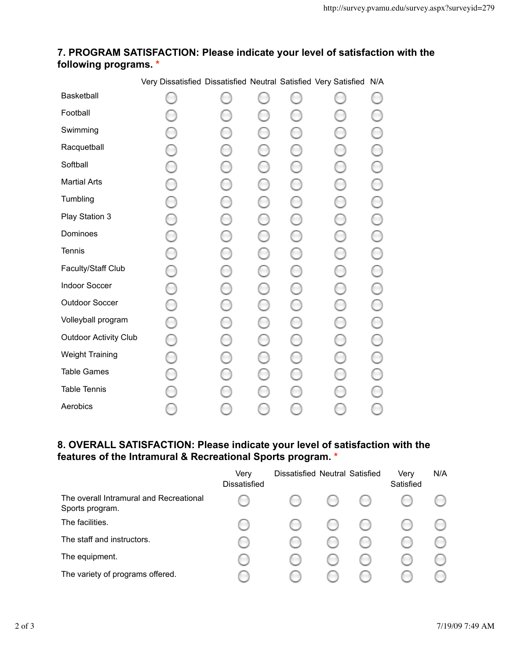#### **7. PROGRAM SATISFACTION: Please indicate your level of satisfaction with the following programs. \***

| Basketball                   |  | $\cdots$ |  |  |
|------------------------------|--|----------|--|--|
| Football                     |  |          |  |  |
| Swimming                     |  |          |  |  |
| Racquetball                  |  |          |  |  |
| Softball                     |  |          |  |  |
| <b>Martial Arts</b>          |  |          |  |  |
| Tumbling                     |  |          |  |  |
| Play Station 3               |  |          |  |  |
| Dominoes                     |  |          |  |  |
| <b>Tennis</b>                |  |          |  |  |
| Faculty/Staff Club           |  |          |  |  |
| Indoor Soccer                |  |          |  |  |
| Outdoor Soccer               |  |          |  |  |
| Volleyball program           |  |          |  |  |
| <b>Outdoor Activity Club</b> |  |          |  |  |
| <b>Weight Training</b>       |  |          |  |  |
| <b>Table Games</b>           |  |          |  |  |
| <b>Table Tennis</b>          |  |          |  |  |
| Aerobics                     |  |          |  |  |

Very Dissatisfied Dissatisfied Neutral Satisfied Very Satisfied N/A

### **8. OVERALL SATISFACTION: Please indicate your level of satisfaction with the features of the Intramural & Recreational Sports program. \***

|                                                            | Very<br><b>Dissatisfied</b> | Dissatisfied Neutral Satisfied |   | Very<br>Satisfied | N/A |
|------------------------------------------------------------|-----------------------------|--------------------------------|---|-------------------|-----|
| The overall Intramural and Recreational<br>Sports program. |                             |                                |   |                   |     |
| The facilities.                                            |                             |                                | m |                   |     |
| The staff and instructors.                                 |                             |                                |   |                   |     |
| The equipment.                                             |                             |                                |   |                   |     |
| The variety of programs offered.                           |                             |                                |   |                   |     |